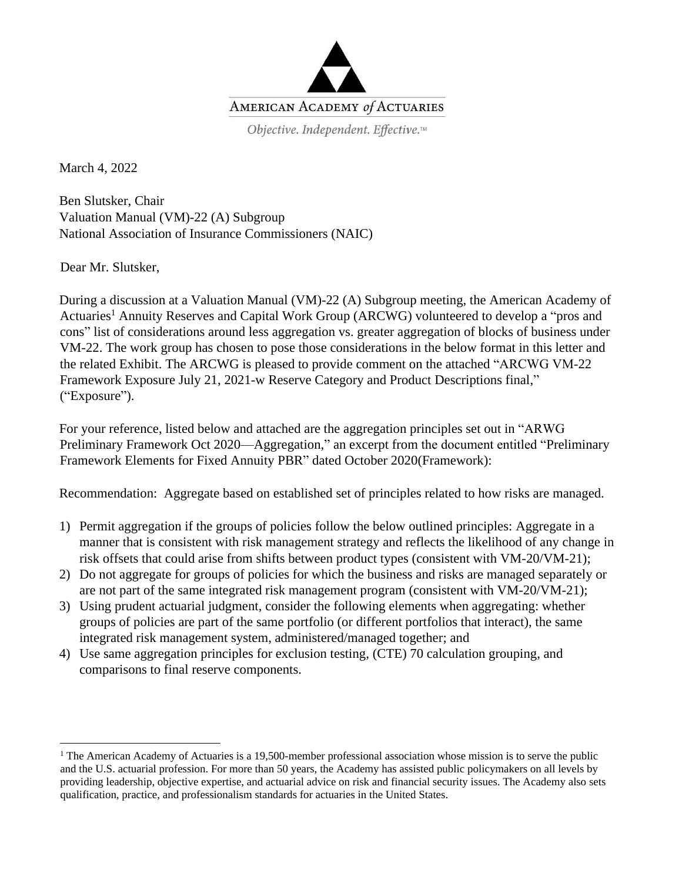

March 4, 2022

Ben Slutsker, Chair Valuation Manual (VM)-22 (A) Subgroup National Association of Insurance Commissioners (NAIC)

Dear Mr. Slutsker,

During a discussion at a Valuation Manual (VM)-22 (A) Subgroup meeting, the American Academy of Actuaries<sup>1</sup> Annuity Reserves and Capital Work Group (ARCWG) volunteered to develop a "pros and cons" list of considerations around less aggregation vs. greater aggregation of blocks of business under VM-22. The work group has chosen to pose those considerations in the below format in this letter and the related Exhibit. The ARCWG is pleased to provide comment on the attached "ARCWG VM-22 Framework Exposure July 21, 2021-w Reserve Category and Product Descriptions final," ("Exposure").

For your reference, listed below and attached are the aggregation principles set out in "ARWG Preliminary Framework Oct 2020—Aggregation," an excerpt from the document entitled "Preliminary Framework Elements for Fixed Annuity PBR" dated October 2020(Framework):

Recommendation: Aggregate based on established set of principles related to how risks are managed.

- 1) Permit aggregation if the groups of policies follow the below outlined principles: Aggregate in a manner that is consistent with risk management strategy and reflects the likelihood of any change in risk offsets that could arise from shifts between product types (consistent with VM-20/VM-21);
- 2) Do not aggregate for groups of policies for which the business and risks are managed separately or are not part of the same integrated risk management program (consistent with VM-20/VM-21);
- 3) Using prudent actuarial judgment, consider the following elements when aggregating: whether groups of policies are part of the same portfolio (or different portfolios that interact), the same integrated risk management system, administered/managed together; and
- 4) Use same aggregation principles for exclusion testing, (CTE) 70 calculation grouping, and comparisons to final reserve components.

<sup>&</sup>lt;sup>1</sup> The American Academy of Actuaries is a 19,500-member professional association whose mission is to serve the public and the U.S. actuarial profession. For more than 50 years, the Academy has assisted public policymakers on all levels by providing leadership, objective expertise, and actuarial advice on risk and financial security issues. The Academy also sets qualification, practice, and professionalism standards for actuaries in the United States.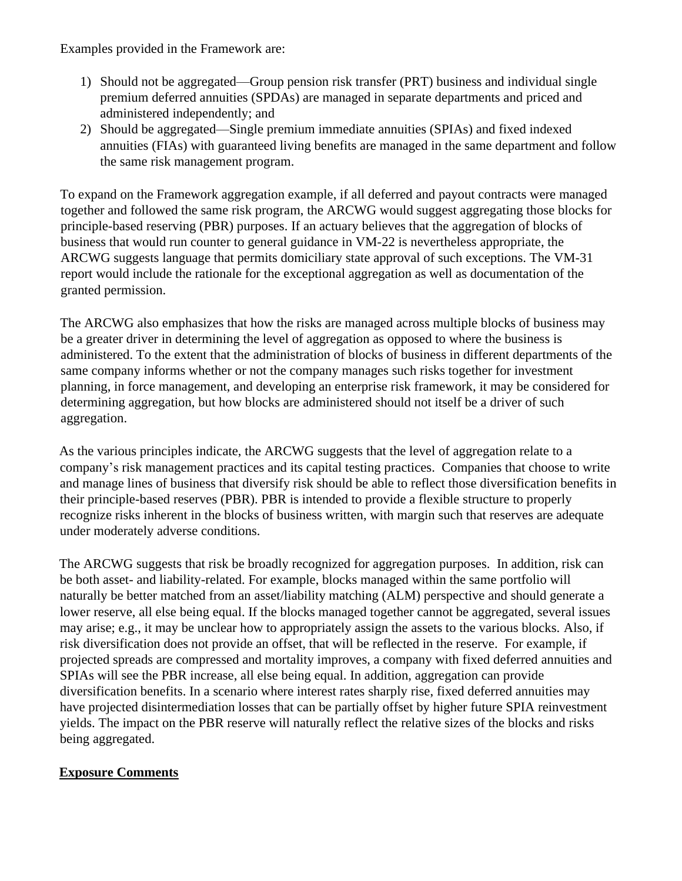Examples provided in the Framework are:

- 1) Should not be aggregated—Group pension risk transfer (PRT) business and individual single premium deferred annuities (SPDAs) are managed in separate departments and priced and administered independently; and
- 2) Should be aggregated—Single premium immediate annuities (SPIAs) and fixed indexed annuities (FIAs) with guaranteed living benefits are managed in the same department and follow the same risk management program.

To expand on the Framework aggregation example, if all deferred and payout contracts were managed together and followed the same risk program, the ARCWG would suggest aggregating those blocks for principle-based reserving (PBR) purposes. If an actuary believes that the aggregation of blocks of business that would run counter to general guidance in VM-22 is nevertheless appropriate, the ARCWG suggests language that permits domiciliary state approval of such exceptions. The VM-31 report would include the rationale for the exceptional aggregation as well as documentation of the granted permission.

The ARCWG also emphasizes that how the risks are managed across multiple blocks of business may be a greater driver in determining the level of aggregation as opposed to where the business is administered. To the extent that the administration of blocks of business in different departments of the same company informs whether or not the company manages such risks together for investment planning, in force management, and developing an enterprise risk framework, it may be considered for determining aggregation, but how blocks are administered should not itself be a driver of such aggregation.

As the various principles indicate, the ARCWG suggests that the level of aggregation relate to a company's risk management practices and its capital testing practices. Companies that choose to write and manage lines of business that diversify risk should be able to reflect those diversification benefits in their principle-based reserves (PBR). PBR is intended to provide a flexible structure to properly recognize risks inherent in the blocks of business written, with margin such that reserves are adequate under moderately adverse conditions.

The ARCWG suggests that risk be broadly recognized for aggregation purposes. In addition, risk can be both asset- and liability-related. For example, blocks managed within the same portfolio will naturally be better matched from an asset/liability matching (ALM) perspective and should generate a lower reserve, all else being equal. If the blocks managed together cannot be aggregated, several issues may arise; e.g., it may be unclear how to appropriately assign the assets to the various blocks. Also, if risk diversification does not provide an offset, that will be reflected in the reserve. For example, if projected spreads are compressed and mortality improves, a company with fixed deferred annuities and SPIAs will see the PBR increase, all else being equal. In addition, aggregation can provide diversification benefits. In a scenario where interest rates sharply rise, fixed deferred annuities may have projected disintermediation losses that can be partially offset by higher future SPIA reinvestment yields. The impact on the PBR reserve will naturally reflect the relative sizes of the blocks and risks being aggregated.

## **Exposure Comments**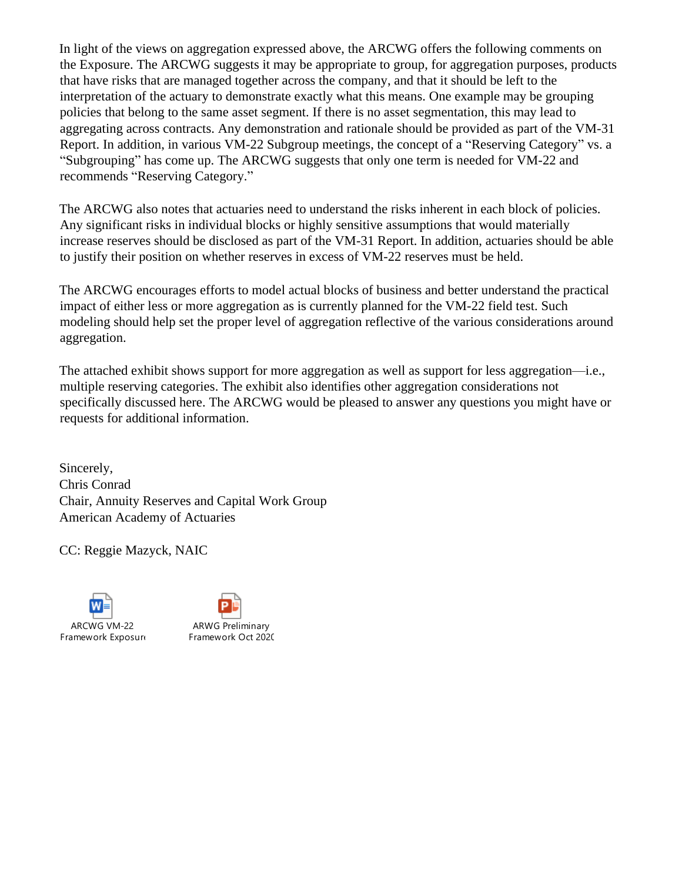In light of the views on aggregation expressed above, the ARCWG offers the following comments on the Exposure. The ARCWG suggests it may be appropriate to group, for aggregation purposes, products that have risks that are managed together across the company, and that it should be left to the interpretation of the actuary to demonstrate exactly what this means. One example may be grouping policies that belong to the same asset segment. If there is no asset segmentation, this may lead to aggregating across contracts. Any demonstration and rationale should be provided as part of the VM-31 Report. In addition, in various VM-22 Subgroup meetings, the concept of a "Reserving Category" vs. a "Subgrouping" has come up. The ARCWG suggests that only one term is needed for VM-22 and recommends "Reserving Category."

The ARCWG also notes that actuaries need to understand the risks inherent in each block of policies. Any significant risks in individual blocks or highly sensitive assumptions that would materially increase reserves should be disclosed as part of the VM-31 Report. In addition, actuaries should be able to justify their position on whether reserves in excess of VM-22 reserves must be held.

The ARCWG encourages efforts to model actual blocks of business and better understand the practical impact of either less or more aggregation as is currently planned for the VM-22 field test. Such modeling should help set the proper level of aggregation reflective of the various considerations around aggregation.

The attached exhibit shows support for more aggregation as well as support for less aggregation—i.e., multiple reserving categories. The exhibit also identifies other aggregation considerations not specifically discussed here. The ARCWG would be pleased to answer any questions you might have or requests for additional information.

Sincerely, Chris Conrad Chair, Annuity Reserves and Capital Work Group American Academy of Actuaries

CC: Reggie Mazyck, NAIC



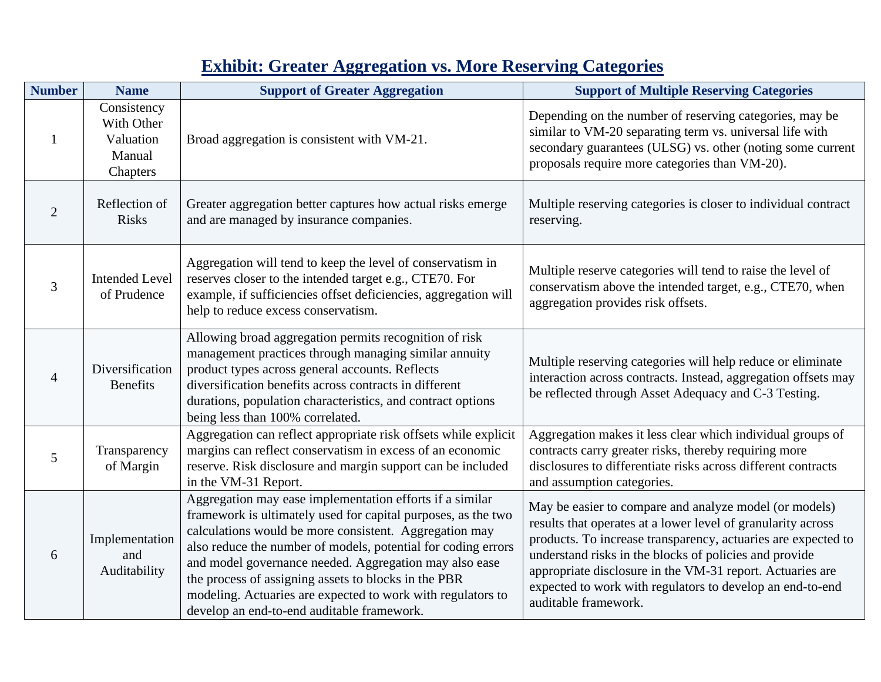## **Exhibit: Greater Aggregation vs. More Reserving Categories**

| <b>Number</b>  | <b>Name</b>                                                  | <b>Support of Greater Aggregation</b>                                                                                                                                                                                                                                                                                                                                                                                                                                               | <b>Support of Multiple Reserving Categories</b>                                                                                                                                                                                                                                                                                                                                                     |
|----------------|--------------------------------------------------------------|-------------------------------------------------------------------------------------------------------------------------------------------------------------------------------------------------------------------------------------------------------------------------------------------------------------------------------------------------------------------------------------------------------------------------------------------------------------------------------------|-----------------------------------------------------------------------------------------------------------------------------------------------------------------------------------------------------------------------------------------------------------------------------------------------------------------------------------------------------------------------------------------------------|
|                | Consistency<br>With Other<br>Valuation<br>Manual<br>Chapters | Broad aggregation is consistent with VM-21.                                                                                                                                                                                                                                                                                                                                                                                                                                         | Depending on the number of reserving categories, may be<br>similar to VM-20 separating term vs. universal life with<br>secondary guarantees (ULSG) vs. other (noting some current<br>proposals require more categories than VM-20).                                                                                                                                                                 |
| $\overline{2}$ | Reflection of<br><b>Risks</b>                                | Greater aggregation better captures how actual risks emerge<br>and are managed by insurance companies.                                                                                                                                                                                                                                                                                                                                                                              | Multiple reserving categories is closer to individual contract<br>reserving.                                                                                                                                                                                                                                                                                                                        |
| 3              | <b>Intended Level</b><br>of Prudence                         | Aggregation will tend to keep the level of conservatism in<br>reserves closer to the intended target e.g., CTE70. For<br>example, if sufficiencies offset deficiencies, aggregation will<br>help to reduce excess conservatism.                                                                                                                                                                                                                                                     | Multiple reserve categories will tend to raise the level of<br>conservatism above the intended target, e.g., CTE70, when<br>aggregation provides risk offsets.                                                                                                                                                                                                                                      |
| 4              | Diversification<br><b>Benefits</b>                           | Allowing broad aggregation permits recognition of risk<br>management practices through managing similar annuity<br>product types across general accounts. Reflects<br>diversification benefits across contracts in different<br>durations, population characteristics, and contract options<br>being less than 100% correlated.                                                                                                                                                     | Multiple reserving categories will help reduce or eliminate<br>interaction across contracts. Instead, aggregation offsets may<br>be reflected through Asset Adequacy and C-3 Testing.                                                                                                                                                                                                               |
| 5              | Transparency<br>of Margin                                    | Aggregation can reflect appropriate risk offsets while explicit<br>margins can reflect conservatism in excess of an economic<br>reserve. Risk disclosure and margin support can be included<br>in the VM-31 Report.                                                                                                                                                                                                                                                                 | Aggregation makes it less clear which individual groups of<br>contracts carry greater risks, thereby requiring more<br>disclosures to differentiate risks across different contracts<br>and assumption categories.                                                                                                                                                                                  |
| 6              | Implementation<br>and<br>Auditability                        | Aggregation may ease implementation efforts if a similar<br>framework is ultimately used for capital purposes, as the two<br>calculations would be more consistent. Aggregation may<br>also reduce the number of models, potential for coding errors<br>and model governance needed. Aggregation may also ease<br>the process of assigning assets to blocks in the PBR<br>modeling. Actuaries are expected to work with regulators to<br>develop an end-to-end auditable framework. | May be easier to compare and analyze model (or models)<br>results that operates at a lower level of granularity across<br>products. To increase transparency, actuaries are expected to<br>understand risks in the blocks of policies and provide<br>appropriate disclosure in the VM-31 report. Actuaries are<br>expected to work with regulators to develop an end-to-end<br>auditable framework. |